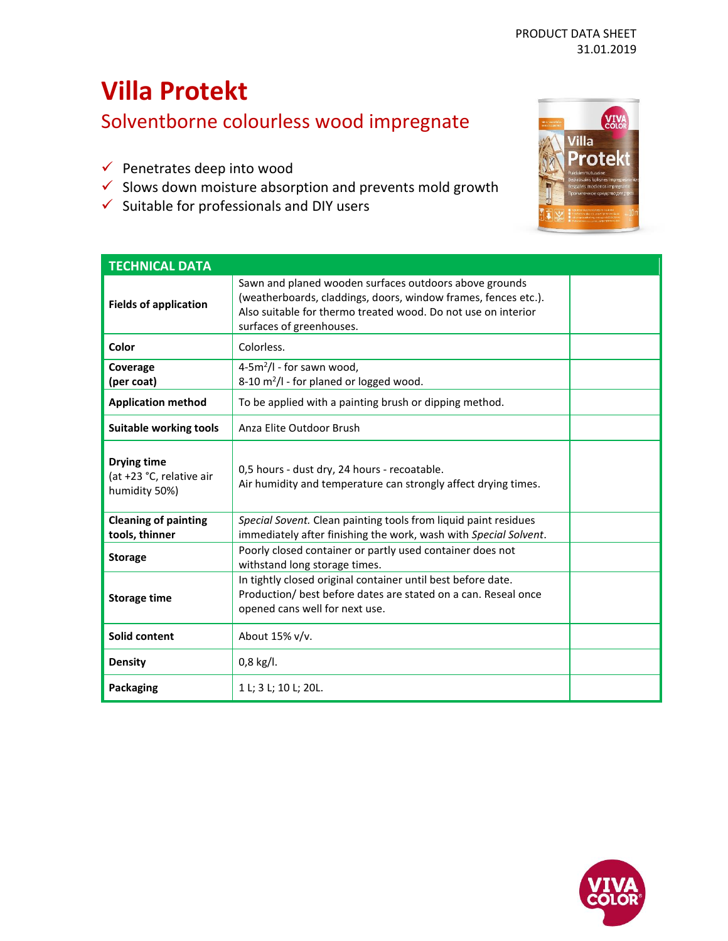# **Villa Protekt**

Solventborne colourless wood impregnate

- ✓ Penetrates deep into wood
- $\checkmark$  Slows down moisture absorption and prevents mold growth
- $\checkmark$  Suitable for professionals and DIY users



| <b>TECHNICAL DATA</b>                                           |                                                                                                                                                                                                                       |  |
|-----------------------------------------------------------------|-----------------------------------------------------------------------------------------------------------------------------------------------------------------------------------------------------------------------|--|
| <b>Fields of application</b>                                    | Sawn and planed wooden surfaces outdoors above grounds<br>(weatherboards, claddings, doors, window frames, fences etc.).<br>Also suitable for thermo treated wood. Do not use on interior<br>surfaces of greenhouses. |  |
| Color                                                           | Colorless.                                                                                                                                                                                                            |  |
| Coverage<br>(per coat)                                          | $4-5m^2/l$ - for sawn wood,<br>8-10 $m^2/l$ - for planed or logged wood.                                                                                                                                              |  |
| <b>Application method</b>                                       | To be applied with a painting brush or dipping method.                                                                                                                                                                |  |
| <b>Suitable working tools</b>                                   | Anza Elite Outdoor Brush                                                                                                                                                                                              |  |
| <b>Drying time</b><br>(at +23 °C, relative air<br>humidity 50%) | 0,5 hours - dust dry, 24 hours - recoatable.<br>Air humidity and temperature can strongly affect drying times.                                                                                                        |  |
| <b>Cleaning of painting</b><br>tools, thinner                   | Special Sovent. Clean painting tools from liquid paint residues<br>immediately after finishing the work, wash with Special Solvent.                                                                                   |  |
| <b>Storage</b>                                                  | Poorly closed container or partly used container does not<br>withstand long storage times.                                                                                                                            |  |
| <b>Storage time</b>                                             | In tightly closed original container until best before date.<br>Production/ best before dates are stated on a can. Reseal once<br>opened cans well for next use.                                                      |  |
| Solid content                                                   | About 15% v/v.                                                                                                                                                                                                        |  |
| <b>Density</b>                                                  | $0,8$ kg/l.                                                                                                                                                                                                           |  |
| <b>Packaging</b>                                                | 1 L; 3 L; 10 L; 20L.                                                                                                                                                                                                  |  |